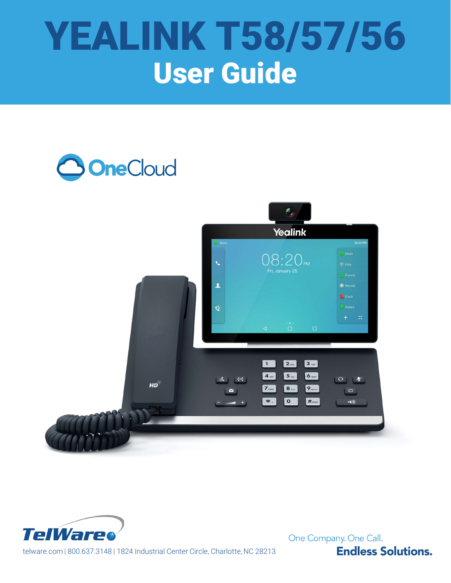# YEALINK T58/57/56 User Guide

# **3 OneCloud**





One Company. One Call. **Endless Solutions.** 

telware.com | 800.637.3148 | 1824 Industrial Center Circle, Charlotte, NC 28213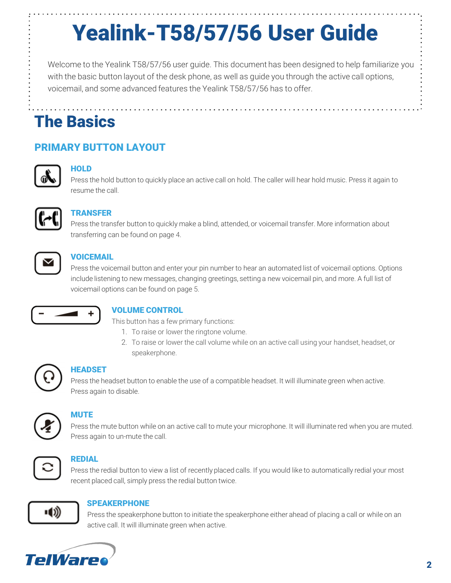# Yealink-T58/57/56 User Guide

Welcome to the Yealink T58/57/56 user guide. This document has been designed to help familiarize you with the basic button layout of the desk phone, as well as guide you through the active call options, voicemail, and some advanced features the Yealink T58/57/56 has to offer.

# The Basics

# PRIMARY BUTTON LAYOUT



# **HOLD**

Press the hold button to quickly place an active call on hold. The caller will hear hold music. Press it again to resume the call.



### TRANSFER

Press the transfer button to quickly make a blind, attended, or voicemail transfer. More information about transferring can be found on page 4.



### **VOICEMAIL**

Press the voicemail button and enter your pin number to hear an automated list of voicemail options. Options include listening to new messages, changing greetings, setting a new voicemail pin, and more. A full list of voicemail options can be found on page 5.



### VOLUME CONTROL

This button has a few primary functions:

- 1. To raise or lower the ringtone volume.
- 2. To raise or lower the call volume while on an active call using your handset, headset, or speakerphone.



### HEADSET

Press the headset button to enable the use of a compatible headset. It will illuminate green when active. Press again to disable.



# **MUTE**

Press the mute button while on an active call to mute your microphone. It will illuminate red when you are muted. Press again to un-mute the call.



### REDIAL

Press the redial button to view a list of recently placed calls. If you would like to automatically redial your most recent placed call, simply press the redial button twice.



### SPEAKERPHONE

Press the speakerphone button to initiate the speakerphone either ahead of placing a call or while on an active call. It will illuminate green when active.

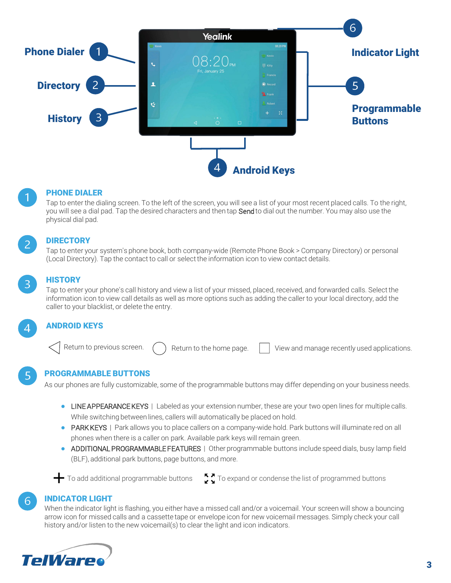



#### PHONE DIALER

Tap to enter the dialing screen. To the left of the screen, you will see a list of your most recent placed calls. To the right, you will see a dial pad. Tap the desired characters and then tap Send to dial out the number. You may also use the physical dial pad.



#### **DIRECTORY**

Tap to enter your system's phone book, both company-wide (Remote Phone Book > Company Directory) or personal (Local Directory). Tap the contact to call or select the information icon to view contact details.

### **HISTORY**

Tap to enter your phone's call history and view a list of your missed, placed, received, and forwarded calls. Select the information icon to view call details as well as more options such as adding the caller to your local directory, add the caller to your blacklist, or delete the entry.

#### ANDROID KEYS

Return to previous screen.  $\left(\begin{array}{c} \cdot \end{array}\right)$  Return to the home page.  $\left|\begin{array}{c} \cdot \end{array}\right|$  View and manage recently used applications.

PROGRAMMABLE BUTTONS

As our phones are fully customizable, some of the programmable buttons may differ depending on your business needs.

- LINE APPEARANCE KEYS | Labeled as your extension number, these are your two open lines for multiple calls. While switching between lines, callers will automatically be placed on hold.
- PARK KEYS | Park allows you to place callers on a company-wide hold. Park buttons will illuminate red on all phones when there is a caller on park. Available park keys will remain green.
- ADDITIONAL PROGRAMMABLE FEATURES | Other programmable buttons include speed dials, busy lamp field (BLF), additional park buttons, page buttons, and more.



To add additional programmable buttons  $\sum$  To expand or condense the list of programmed buttons

#### INDICATOR LIGHT

When the indicator light is flashing, you either have a missed call and/or a voicemail. Your screen will show a bouncing arrow icon for missed calls and a cassette tape or envelope icon for new voicemail messages. Simply check your call history and/or listen to the new voicemail(s) to clear the light and icon indicators.

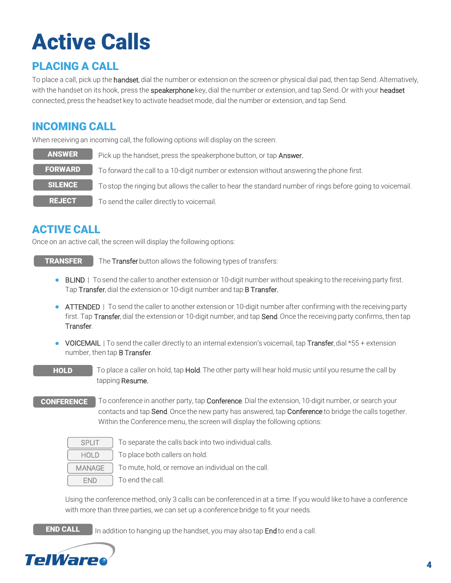# Active Calls

# PLACING A CALL

To place a call, pick up the handset, dial the number or extension on the screen or physical dial pad, then tap Send. Alternatively, with the handset on its hook, press the **speakerphone** key, dial the number or extension, and tap Send. Or with your headset connected, press the headset key to activate headset mode, dial the number or extension, and tap Send.

# INCOMING CALL

When receiving an incoming call, the following options will display on the screen:

| <b>ANSWER</b>  | Pick up the handset, press the speakerphone button, or tap Answer.                                        |
|----------------|-----------------------------------------------------------------------------------------------------------|
| <b>FORWARD</b> | To forward the call to a 10-digit number or extension without answering the phone first.                  |
| <b>SILENCE</b> | To stop the ringing but allows the caller to hear the standard number of rings before going to voicemail. |
| <b>REJECT</b>  | To send the caller directly to voicemail.                                                                 |

# ACTIVE CALL

Once on an active call, the screen will display the following options:

The Transfer button allows the following types of transfers: TRANSFER

- BLIND | To send the caller to another extension or 10-digit number without speaking to the receiving party first. Tap Transfer, dial the extension or 10-digit number and tap **B Transfer.**
- ATTENDED | To send the caller to another extension or 10-digit number after confirming with the receiving party first. Tap Transfer, dial the extension or 10-digit number, and tap Send. Once the receiving party confirms, then tap Transfer.
- VOICEMAIL | To send the caller directly to an internal extension's voicemail, tap Transfer, dial \*55 + extension number, then tap B Transfer.
- To place a caller on hold, tap Hold. The other party will hear hold music until you resume the call by tapping Resume. **HOLD**
- To conference in another party, tap **Conference**. Dial the extension, 10-digit number, or search your contacts and tap Send. Once the new party has answered, tap Conference to bridge the calls together. Within the Conference menu, the screen will display the following options: **CONFERENCE**

| SPI IT        | To separat  |
|---------------|-------------|
| <b>HOLD</b>   | To place be |
| <b>MANAGE</b> | To mute, h  |
| FND           | To end the  |

te the calls back into two individual calls.

oth callers on hold.

old, or remove an individual on the call.

call.

Using the conference method, only 3 calls can be conferenced in at a time. If you would like to have a conference with more than three parties, we can set up a conference bridge to fit your needs.

END CALL

In addition to hanging up the handset, you may also tap **End** to end a call.

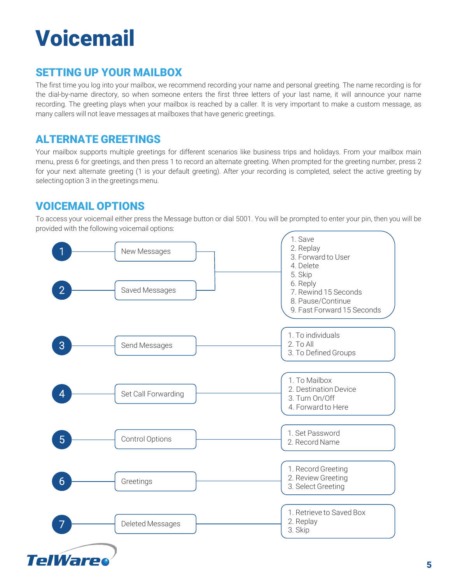# Voicemail

# SETTING UP YOUR MAILBOX

The first time you log into your mailbox, we recommend recording your name and personal greeting. The name recording is for the dial-by-name directory, so when someone enters the first three letters of your last name, it will announce your name recording. The greeting plays when your mailbox is reached by a caller. It is very important to make a custom message, as many callers will not leave messages at mailboxes that have generic greetings.

# ALTERNATE GREETINGS

Your mailbox supports multiple greetings for different scenarios like business trips and holidays. From your mailbox main menu, press 6 for greetings, and then press 1 to record an alternate greeting. When prompted for the greeting number, press 2 for your next alternate greeting (1 is your default greeting). After your recording is completed, select the active greeting by selecting option 3 in the greetings menu.

# VOICEMAIL OPTIONS

To access your voicemail either press the Message button or dial 5001. You will be prompted to enter your pin, then you will be provided with the following voicemail options: